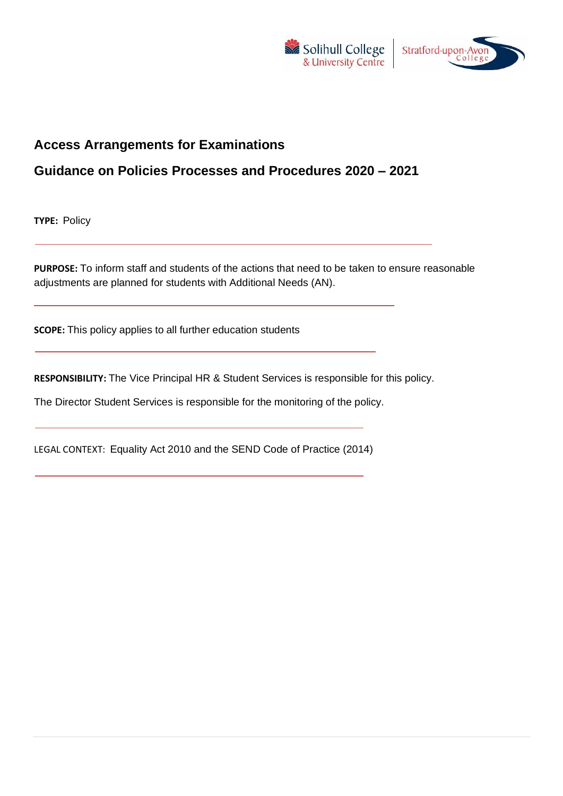



# **Access Arrangements for Examinations**

## **Guidance on Policies Processes and Procedures 2020 – 2021**

**TYPE:** Policy

**PURPOSE:** To inform staff and students of the actions that need to be taken to ensure reasonable adjustments are planned for students with Additional Needs (AN).

**SCOPE:** This policy applies to all further education students

**RESPONSIBILITY:** The Vice Principal HR & Student Services is responsible for this policy.

The Director Student Services is responsible for the monitoring of the policy.

LEGAL CONTEXT: Equality Act 2010 and the SEND Code of Practice (2014)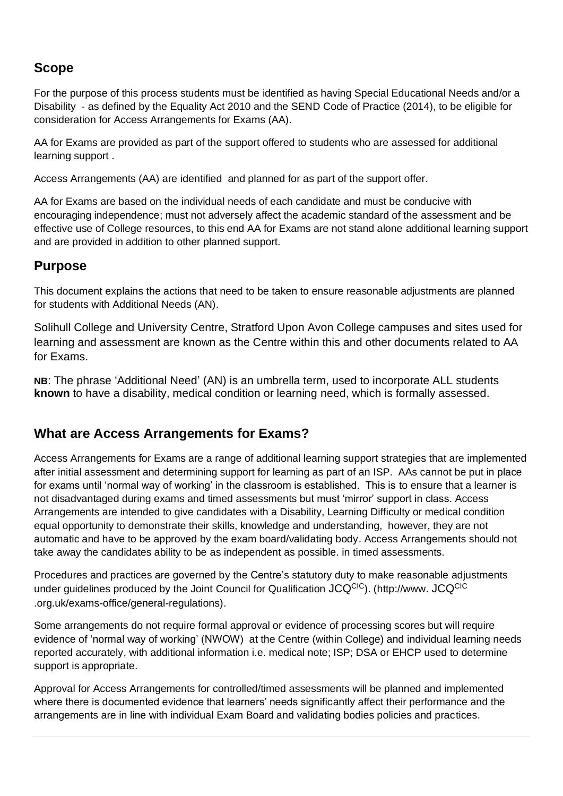# **Scope**

For the purpose of this process students must be identified as having Special Educational Needs and/or a Disability - as defined by the Equality Act 2010 and the SEND Code of Practice (2014), to be eligible for consideration for Access Arrangements for Exams (AA).

AA for Exams are provided as part of the support offered to students who are assessed for additional learning support .

Access Arrangements (AA) are identified and planned for as part of the support offer.

AA for Exams are based on the individual needs of each candidate and must be conducive with encouraging independence; must not adversely affect the academic standard of the assessment and be effective use of College resources, to this end AA for Exams are not stand alone additional learning support and are provided in addition to other planned support.

#### **Purpose**

This document explains the actions that need to be taken to ensure reasonable adjustments are planned for students with Additional Needs (AN).

Solihull College and University Centre, Stratford Upon Avon College campuses and sites used for learning and assessment are known as the Centre within this and other documents related to AA for Exams.

**NB**: The phrase 'Additional Need' (AN) is an umbrella term, used to incorporate ALL students **known** to have a disability, medical condition or learning need, which is formally assessed.

## **What are Access Arrangements for Exams?**

Access Arrangements for Exams are a range of additional learning support strategies that are implemented after initial assessment and determining support for learning as part of an ISP. AAs cannot be put in place for exams until 'normal way of working' in the classroom is established. This is to ensure that a learner is not disadvantaged during exams and timed assessments but must 'mirror' support in class. Access Arrangements are intended to give candidates with a Disability, Learning Difficulty or medical condition equal opportunity to demonstrate their skills, knowledge and understanding, however, they are not automatic and have to be approved by the exam board/validating body. Access Arrangements should not take away the candidates ability to be as independent as possible. in timed assessments.

Procedures and practices are governed by the Centre's statutory duty to make reasonable adjustments under guidelines produced by the Joint Council for Qualification JCQCIC). (http://www. JCQCIC .org.uk/exams-office/general-regulations).

Some arrangements do not require formal approval or evidence of processing scores but will require evidence of 'normal way of working' (NWOW) at the Centre (within College) and individual learning needs reported accurately, with additional information i.e. medical note; ISP; DSA or EHCP used to determine support is appropriate.

Approval for Access Arrangements for controlled/timed assessments will be planned and implemented where there is documented evidence that learners' needs significantly affect their performance and the arrangements are in line with individual Exam Board and validating bodies policies and practices.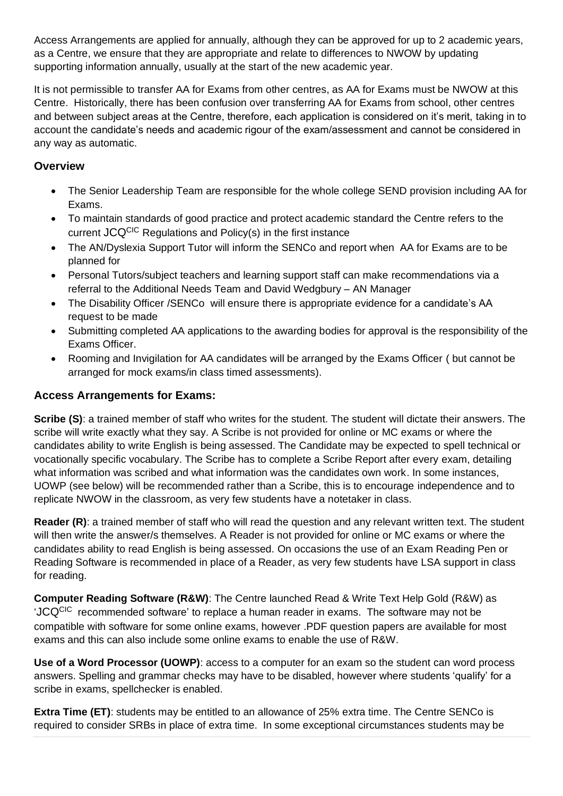Access Arrangements are applied for annually, although they can be approved for up to 2 academic years, as a Centre, we ensure that they are appropriate and relate to differences to NWOW by updating supporting information annually, usually at the start of the new academic year.

It is not permissible to transfer AA for Exams from other centres, as AA for Exams must be NWOW at this Centre. Historically, there has been confusion over transferring AA for Exams from school, other centres and between subject areas at the Centre, therefore, each application is considered on it's merit, taking in to account the candidate's needs and academic rigour of the exam/assessment and cannot be considered in any way as automatic.

#### **Overview**

- The Senior Leadership Team are responsible for the whole college SEND provision including AA for Exams.
- To maintain standards of good practice and protect academic standard the Centre refers to the current JCQCIC Regulations and Policy(s) in the first instance
- The AN/Dyslexia Support Tutor will inform the SENCo and report when AA for Exams are to be planned for
- Personal Tutors/subject teachers and learning support staff can make recommendations via a referral to the Additional Needs Team and David Wedgbury – AN Manager
- The Disability Officer /SENCo will ensure there is appropriate evidence for a candidate's AA request to be made
- Submitting completed AA applications to the awarding bodies for approval is the responsibility of the Exams Officer.
- Rooming and Invigilation for AA candidates will be arranged by the Exams Officer ( but cannot be arranged for mock exams/in class timed assessments).

#### **Access Arrangements for Exams:**

**Scribe (S)**: a trained member of staff who writes for the student. The student will dictate their answers. The scribe will write exactly what they say. A Scribe is not provided for online or MC exams or where the candidates ability to write English is being assessed. The Candidate may be expected to spell technical or vocationally specific vocabulary. The Scribe has to complete a Scribe Report after every exam, detailing what information was scribed and what information was the candidates own work. In some instances, UOWP (see below) will be recommended rather than a Scribe, this is to encourage independence and to replicate NWOW in the classroom, as very few students have a notetaker in class.

**Reader (R)**: a trained member of staff who will read the question and any relevant written text. The student will then write the answer/s themselves. A Reader is not provided for online or MC exams or where the candidates ability to read English is being assessed. On occasions the use of an Exam Reading Pen or Reading Software is recommended in place of a Reader, as very few students have LSA support in class for reading.

**Computer Reading Software (R&W)**: The Centre launched Read & Write Text Help Gold (R&W) as 'JCQCIC recommended software' to replace a human reader in exams. The software may not be compatible with software for some online exams, however .PDF question papers are available for most exams and this can also include some online exams to enable the use of R&W.

**Use of a Word Processor (UOWP)**: access to a computer for an exam so the student can word process answers. Spelling and grammar checks may have to be disabled, however where students 'qualify' for a scribe in exams, spellchecker is enabled.

**Extra Time (ET)**: students may be entitled to an allowance of 25% extra time. The Centre SENCo is required to consider SRBs in place of extra time. In some exceptional circumstances students may be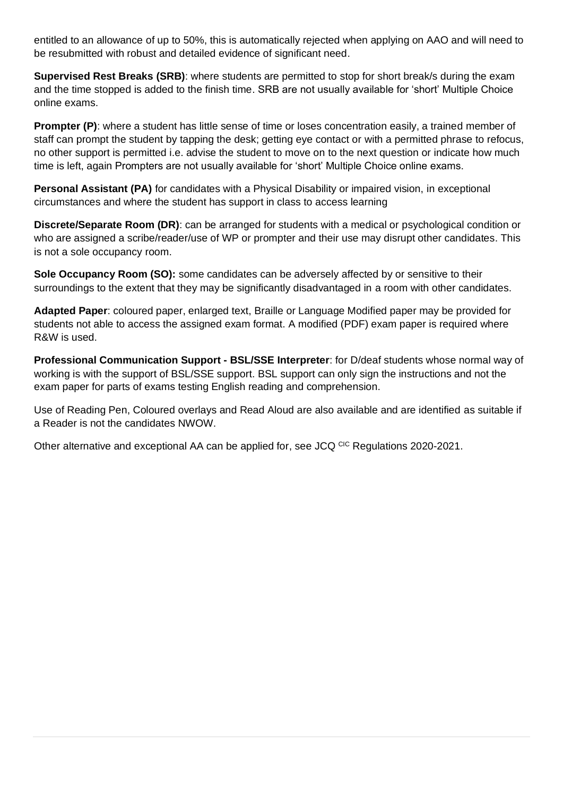entitled to an allowance of up to 50%, this is automatically rejected when applying on AAO and will need to be resubmitted with robust and detailed evidence of significant need.

**Supervised Rest Breaks (SRB)**: where students are permitted to stop for short break/s during the exam and the time stopped is added to the finish time. SRB are not usually available for 'short' Multiple Choice online exams.

**Prompter (P)**: where a student has little sense of time or loses concentration easily, a trained member of staff can prompt the student by tapping the desk; getting eye contact or with a permitted phrase to refocus, no other support is permitted i.e. advise the student to move on to the next question or indicate how much time is left, again Prompters are not usually available for 'short' Multiple Choice online exams.

**Personal Assistant (PA)** for candidates with a Physical Disability or impaired vision, in exceptional circumstances and where the student has support in class to access learning

**Discrete/Separate Room (DR)**: can be arranged for students with a medical or psychological condition or who are assigned a scribe/reader/use of WP or prompter and their use may disrupt other candidates. This is not a sole occupancy room.

**Sole Occupancy Room (SO):** some candidates can be adversely affected by or sensitive to their surroundings to the extent that they may be significantly disadvantaged in a room with other candidates.

**Adapted Paper**: coloured paper, enlarged text, Braille or Language Modified paper may be provided for students not able to access the assigned exam format. A modified (PDF) exam paper is required where R&W is used.

**Professional Communication Support - BSL/SSE Interpreter**: for D/deaf students whose normal way of working is with the support of BSL/SSE support. BSL support can only sign the instructions and not the exam paper for parts of exams testing English reading and comprehension.

Use of Reading Pen, Coloured overlays and Read Aloud are also available and are identified as suitable if a Reader is not the candidates NWOW.

Other alternative and exceptional AA can be applied for, see JCQ CIC Regulations 2020-2021.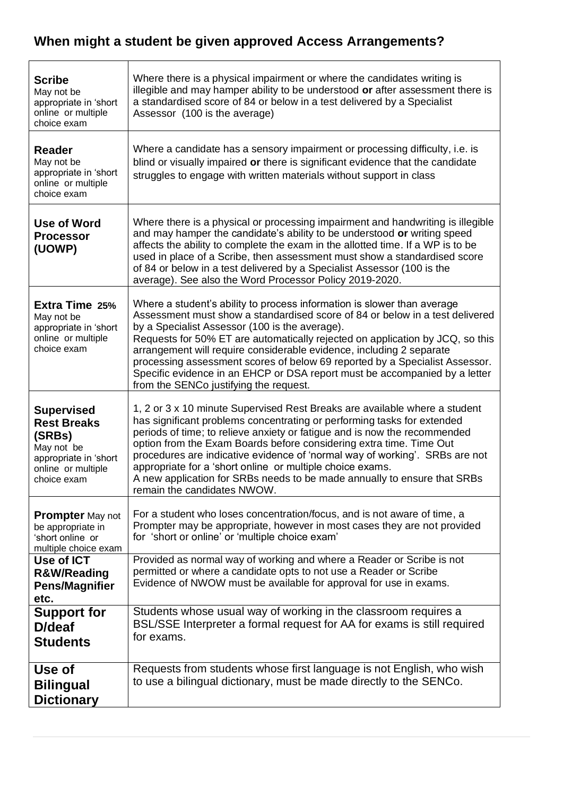# **When might a student be given approved Access Arrangements?**

| <b>Scribe</b><br>May not be<br>appropriate in 'short<br>online or multiple<br>choice exam                                     | Where there is a physical impairment or where the candidates writing is<br>illegible and may hamper ability to be understood or after assessment there is<br>a standardised score of 84 or below in a test delivered by a Specialist<br>Assessor (100 is the average)                                                                                                                                                                                                                                                                                                     |
|-------------------------------------------------------------------------------------------------------------------------------|---------------------------------------------------------------------------------------------------------------------------------------------------------------------------------------------------------------------------------------------------------------------------------------------------------------------------------------------------------------------------------------------------------------------------------------------------------------------------------------------------------------------------------------------------------------------------|
| <b>Reader</b><br>May not be<br>appropriate in 'short<br>online or multiple<br>choice exam                                     | Where a candidate has a sensory impairment or processing difficulty, i.e. is<br>blind or visually impaired or there is significant evidence that the candidate<br>struggles to engage with written materials without support in class                                                                                                                                                                                                                                                                                                                                     |
| Use of Word<br><b>Processor</b><br>(UOWP)                                                                                     | Where there is a physical or processing impairment and handwriting is illegible<br>and may hamper the candidate's ability to be understood or writing speed<br>affects the ability to complete the exam in the allotted time. If a WP is to be<br>used in place of a Scribe, then assessment must show a standardised score<br>of 84 or below in a test delivered by a Specialist Assessor (100 is the<br>average). See also the Word Processor Policy 2019-2020.                                                                                                         |
| <b>Extra Time 25%</b><br>May not be<br>appropriate in 'short<br>online or multiple<br>choice exam                             | Where a student's ability to process information is slower than average<br>Assessment must show a standardised score of 84 or below in a test delivered<br>by a Specialist Assessor (100 is the average).<br>Requests for 50% ET are automatically rejected on application by JCQ, so this<br>arrangement will require considerable evidence, including 2 separate<br>processing assessment scores of below 69 reported by a Specialist Assessor.<br>Specific evidence in an EHCP or DSA report must be accompanied by a letter<br>from the SENCo justifying the request. |
| <b>Supervised</b><br><b>Rest Breaks</b><br>(SRBs)<br>May not be<br>appropriate in 'short<br>online or multiple<br>choice exam | 1, 2 or 3 x 10 minute Supervised Rest Breaks are available where a student<br>has significant problems concentrating or performing tasks for extended<br>periods of time; to relieve anxiety or fatigue and is now the recommended<br>option from the Exam Boards before considering extra time. Time Out<br>procedures are indicative evidence of 'normal way of working'. SRBs are not<br>appropriate for a 'short online or multiple choice exams.<br>A new application for SRBs needs to be made annually to ensure that SRBs<br>remain the candidates NWOW.          |
| <b>Prompter</b> May not<br>be appropriate in<br>'short online or<br>multiple choice exam                                      | For a student who loses concentration/focus, and is not aware of time, a<br>Prompter may be appropriate, however in most cases they are not provided<br>for 'short or online' or 'multiple choice exam'                                                                                                                                                                                                                                                                                                                                                                   |
| Use of ICT<br><b>R&amp;W/Reading</b><br><b>Pens/Magnifier</b><br>etc.                                                         | Provided as normal way of working and where a Reader or Scribe is not<br>permitted or where a candidate opts to not use a Reader or Scribe<br>Evidence of NWOW must be available for approval for use in exams.                                                                                                                                                                                                                                                                                                                                                           |
| <b>Support for</b><br>D/deaf<br><b>Students</b>                                                                               | Students whose usual way of working in the classroom requires a<br>BSL/SSE Interpreter a formal request for AA for exams is still required<br>for exams.                                                                                                                                                                                                                                                                                                                                                                                                                  |
| Use of<br><b>Bilingual</b><br><b>Dictionary</b>                                                                               | Requests from students whose first language is not English, who wish<br>to use a bilingual dictionary, must be made directly to the SENCo.                                                                                                                                                                                                                                                                                                                                                                                                                                |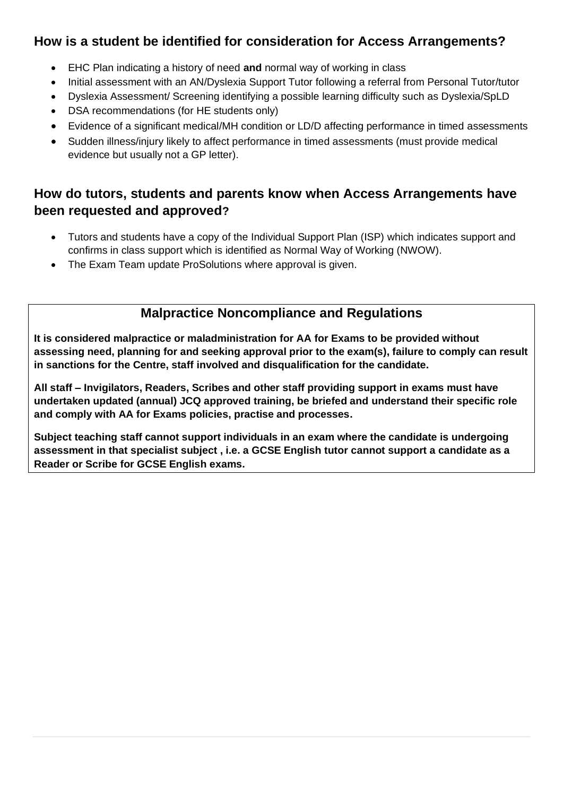# **How is a student be identified for consideration for Access Arrangements?**

- EHC Plan indicating a history of need **and** normal way of working in class
- Initial assessment with an AN/Dyslexia Support Tutor following a referral from Personal Tutor/tutor
- Dyslexia Assessment/ Screening identifying a possible learning difficulty such as Dyslexia/SpLD
- DSA recommendations (for HE students only)
- Evidence of a significant medical/MH condition or LD/D affecting performance in timed assessments
- Sudden illness/injury likely to affect performance in timed assessments (must provide medical evidence but usually not a GP letter).

# **How do tutors, students and parents know when Access Arrangements have been requested and approved?**

- Tutors and students have a copy of the Individual Support Plan (ISP) which indicates support and confirms in class support which is identified as Normal Way of Working (NWOW).
- The Exam Team update ProSolutions where approval is given.

# **Malpractice Noncompliance and Regulations**

**It is considered malpractice or maladministration for AA for Exams to be provided without assessing need, planning for and seeking approval prior to the exam(s), failure to comply can result in sanctions for the Centre, staff involved and disqualification for the candidate.**

**All staff – Invigilators, Readers, Scribes and other staff providing support in exams must have undertaken updated (annual) JCQ approved training, be briefed and understand their specific role and comply with AA for Exams policies, practise and processes.**

**Subject teaching staff cannot support individuals in an exam where the candidate is undergoing assessment in that specialist subject , i.e. a GCSE English tutor cannot support a candidate as a Reader or Scribe for GCSE English exams.**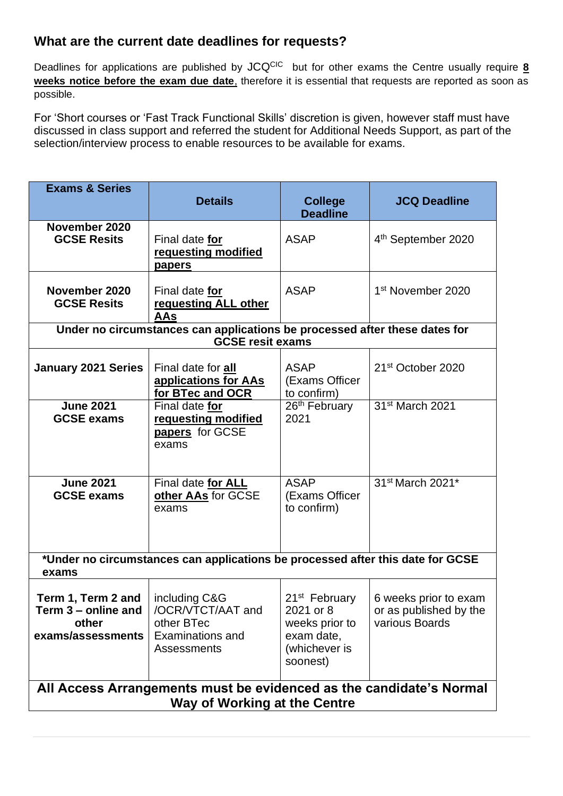## **What are the current date deadlines for requests?**

Deadlines for applications are published by JCQ<sup>CIC</sup> but for other exams the Centre usually require 8 **weeks notice before the exam due date**, therefore it is essential that requests are reported as soon as possible.

For 'Short courses or 'Fast Track Functional Skills' discretion is given, however staff must have discussed in class support and referred the student for Additional Needs Support, as part of the selection/interview process to enable resources to be available for exams.

| <b>Exams &amp; Series</b>                                                                                  | <b>Details</b>                                                                                        | <b>College</b><br><b>Deadline</b>                                                                   | <b>JCQ Deadline</b>                                               |  |
|------------------------------------------------------------------------------------------------------------|-------------------------------------------------------------------------------------------------------|-----------------------------------------------------------------------------------------------------|-------------------------------------------------------------------|--|
| November 2020<br><b>GCSE Resits</b>                                                                        | Final date for<br>requesting modified<br><u>papers</u>                                                | <b>ASAP</b>                                                                                         | 4 <sup>th</sup> September 2020                                    |  |
| November 2020<br><b>GCSE Resits</b>                                                                        | Final date for<br>requesting ALL other<br><b>AAs</b>                                                  | <b>ASAP</b>                                                                                         | 1 <sup>st</sup> November 2020                                     |  |
|                                                                                                            | Under no circumstances can applications be processed after these dates for<br><b>GCSE resit exams</b> |                                                                                                     |                                                                   |  |
| <b>January 2021 Series</b>                                                                                 | Final date for all<br>applications for AAs<br>for BTec and OCR                                        | <b>ASAP</b><br>(Exams Officer<br>to confirm)                                                        | 21 <sup>st</sup> October 2020                                     |  |
| <b>June 2021</b><br><b>GCSE exams</b>                                                                      | Final date for<br>requesting modified<br>papers for GCSE<br>exams                                     | 26th February<br>2021                                                                               | 31 <sup>st</sup> March 2021                                       |  |
| <b>June 2021</b><br><b>GCSE exams</b>                                                                      | Final date for ALL<br>other AAs for GCSE<br>exams                                                     | <b>ASAP</b><br>(Exams Officer<br>to confirm)                                                        | 31st March 2021*                                                  |  |
| *Under no circumstances can applications be processed after this date for GCSE<br>exams                    |                                                                                                       |                                                                                                     |                                                                   |  |
| Term 1, Term 2 and<br>Term 3 – online and<br>other<br>exams/assessments                                    | including C&G<br>/OCR/VTCT/AAT and<br>other BTec<br><b>Examinations and</b><br>Assessments            | 21 <sup>st</sup> February<br>2021 or 8<br>weeks prior to<br>exam date,<br>(whichever is<br>soonest) | 6 weeks prior to exam<br>or as published by the<br>various Boards |  |
| All Access Arrangements must be evidenced as the candidate's Normal<br><b>Way of Working at the Centre</b> |                                                                                                       |                                                                                                     |                                                                   |  |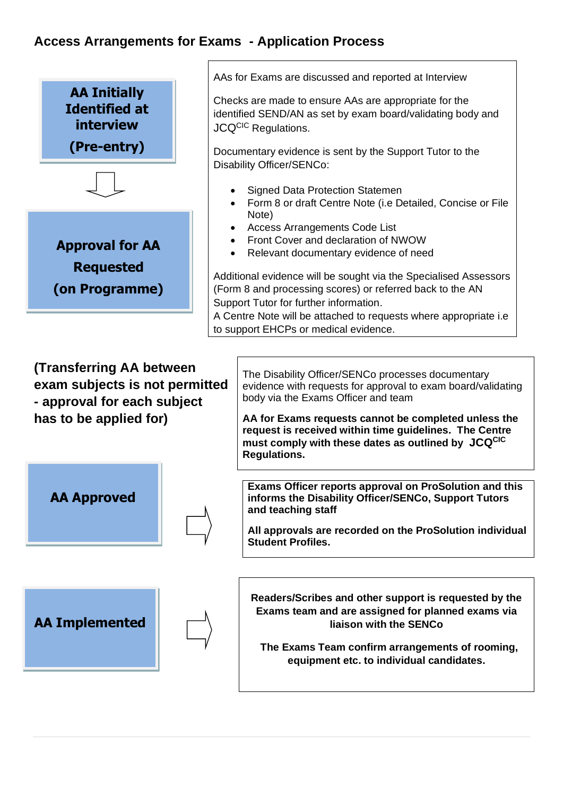# **Access Arrangements for Exams - Application Process**

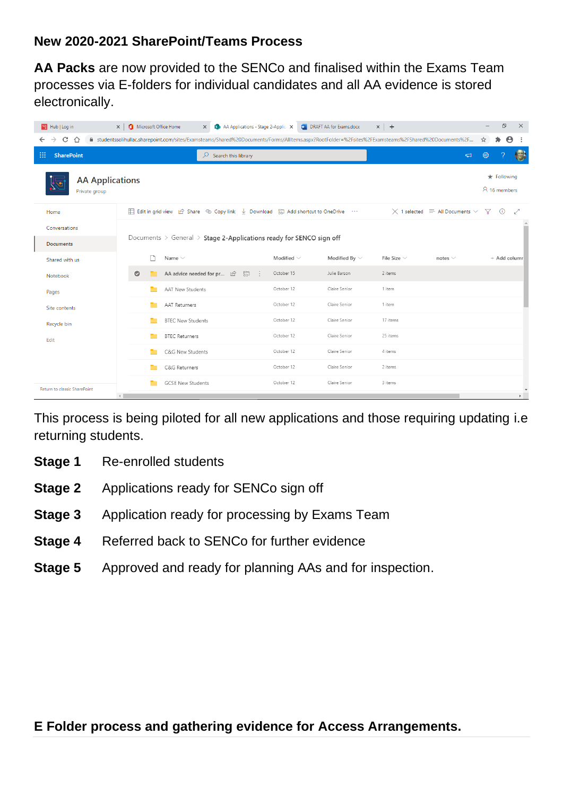# **New 2020-2021 SharePoint/Teams Process**

**AA Packs** are now provided to the SENCo and finalised within the Exams Team processes via E-folders for individual candidates and all AA evidence is stored electronically.

| <b>No Hub</b>   Log in                  | Microsoft Office Home<br>AA Applications - Stage 2-Applice X<br>$\times$<br>$\times$                                                                 |                   | <b>M</b> DRAFT AA for Exams.docx | $\times$ +       |                                                     |                                      | σ<br>$\times$                           |
|-----------------------------------------|------------------------------------------------------------------------------------------------------------------------------------------------------|-------------------|----------------------------------|------------------|-----------------------------------------------------|--------------------------------------|-----------------------------------------|
| C<br>≏<br>←                             | ■ studentssolihullac.sharepoint.com/sites/Examsteams/Shared%20Documents/Forms/AllItems.aspx?RootFolder=%2Fsites%2FExamsteams%2FShared%20Documents%2F |                   |                                  |                  |                                                     | ☆                                    | $\boldsymbol{\Theta}$                   |
| m<br><b>SharePoint</b>                  | ρ<br>Search this library                                                                                                                             |                   |                                  |                  | $\Box$                                              | ි                                    | $\left( \frac{1}{2} \right)$            |
| <b>AA Applications</b><br>Private group |                                                                                                                                                      |                   |                                  |                  |                                                     | $\bigstar$ Following<br>A 16 members |                                         |
| Home                                    | 日 Edit in grid view 企 Share © Copy link ↓ Download 및 Add shortcut to OneDrive …                                                                      |                   |                                  |                  | $\times$ 1 selected $\equiv$ All Documents $\times$ | 7 O                                  | ↗                                       |
| Conversations                           |                                                                                                                                                      |                   |                                  |                  |                                                     |                                      |                                         |
| <b>Documents</b>                        | Documents $\ge$ General $\ge$ Stage 2-Applications ready for SENCO sign off                                                                          |                   |                                  |                  |                                                     |                                      |                                         |
| Shared with us                          | n<br>Name $\vee$                                                                                                                                     | Modified $\vee$   | Modified By $\vee$               | File Size $\vee$ | notes $\vee$                                        |                                      | $+$ Add columr                          |
| Notebook                                | $\bullet$<br>AA advice needed for pr $\Box$<br>고                                                                                                     | October 15<br>- 9 | Julie Barson                     | 2 items          |                                                     |                                      |                                         |
| Pages                                   | AAT New Students                                                                                                                                     | October 12        | Claire Senior                    | 1 item           |                                                     |                                      |                                         |
| Site contents                           | <b>AAT Returners</b>                                                                                                                                 | October 12        | Claire Senior                    | 1 item           |                                                     |                                      |                                         |
| Recycle bin                             | <b>BTEC New Students</b>                                                                                                                             | October 12        | Claire Senior                    | 17 items         |                                                     |                                      |                                         |
| Edit                                    | <b>BTEC Returners</b>                                                                                                                                | October 12        | Claire Senior                    | 25 items         |                                                     |                                      |                                         |
|                                         | C&G New Students                                                                                                                                     | October 12        | Claire Senior                    | 4 items          |                                                     |                                      |                                         |
|                                         | C&G Returners                                                                                                                                        | October 12        | Claire Senior                    | 2 items          |                                                     |                                      |                                         |
| Return to classic SharePoint            | <b>GCSE New Students</b><br>$\leftarrow$                                                                                                             | October 12        | Claire Senior                    | 3 items          |                                                     |                                      | $\overline{\mathbf{v}}$<br>$\mathbf{r}$ |

This process is being piloted for all new applications and those requiring updating i.e returning students.

- **Stage 1** Re-enrolled students
- **Stage 2** Applications ready for SENCo sign off
- **Stage 3** Application ready for processing by Exams Team
- **Stage 4** Referred back to SENCo for further evidence
- **Stage 5** Approved and ready for planning AAs and for inspection.

## **E Folder process and gathering evidence for Access Arrangements.**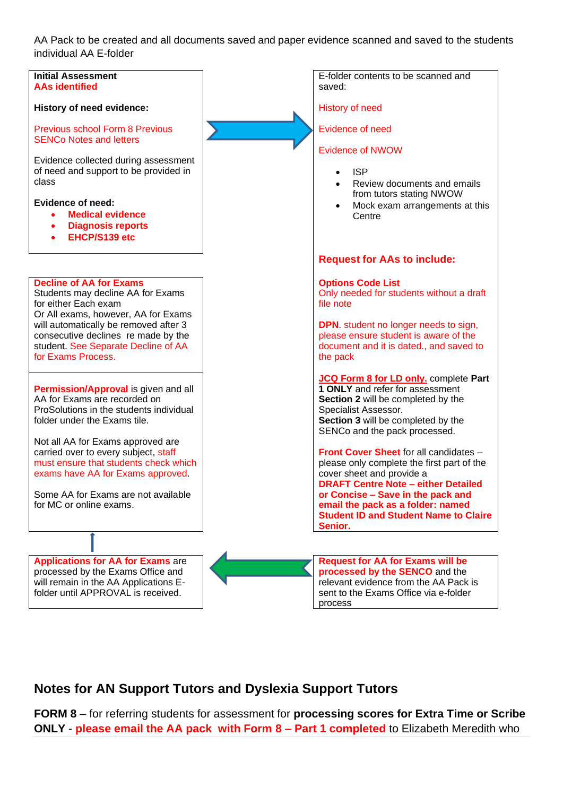AA Pack to be created and all documents saved and paper evidence scanned and saved to the students individual AA E-folder



## **Notes for AN Support Tutors and Dyslexia Support Tutors**

**FORM 8** – for referring students for assessment for **processing scores for Extra Time or Scribe ONLY** - **please email the AA pack with Form 8 – Part 1 completed** to Elizabeth Meredith who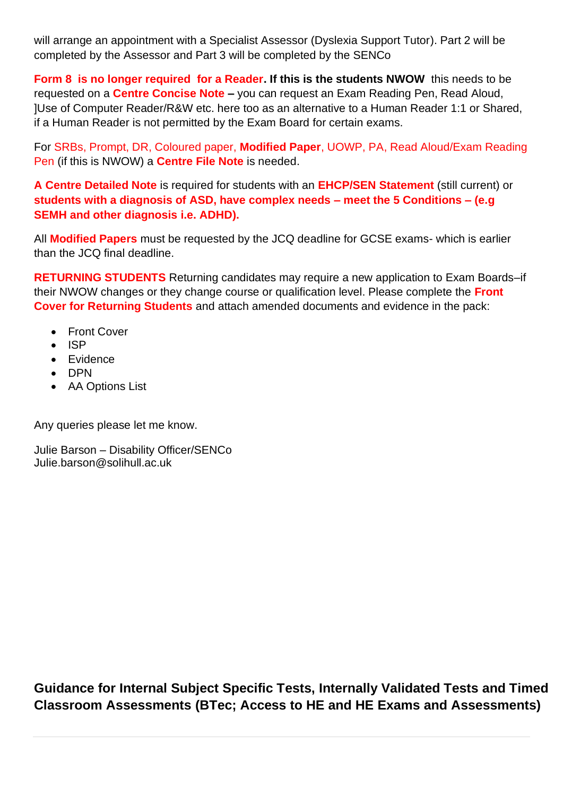will arrange an appointment with a Specialist Assessor (Dyslexia Support Tutor). Part 2 will be completed by the Assessor and Part 3 will be completed by the SENCo

**Form 8 is no longer required for a Reader. If this is the students NWOW this needs to be** requested on a **Centre Concise Note –** you can request an Exam Reading Pen, Read Aloud, ]Use of Computer Reader/R&W etc. here too as an alternative to a Human Reader 1:1 or Shared, if a Human Reader is not permitted by the Exam Board for certain exams.

For SRBs, Prompt, DR, Coloured paper, **Modified Paper**, UOWP, PA, Read Aloud/Exam Reading Pen (if this is NWOW) a **Centre File Note** is needed.

**A Centre Detailed Note** is required for students with an **EHCP/SEN Statement** (still current) or **students with a diagnosis of ASD, have complex needs – meet the 5 Conditions – (e.g SEMH and other diagnosis i.e. ADHD).**

All **Modified Papers** must be requested by the JCQ deadline for GCSE exams- which is earlier than the JCQ final deadline.

**RETURNING STUDENTS** Returning candidates may require a new application to Exam Boards–if their NWOW changes or they change course or qualification level. Please complete the **Front Cover for Returning Students** and attach amended documents and evidence in the pack:

- Front Cover
- ISP
- Evidence
- DPN
- AA Options List

Any queries please let me know.

Julie Barson – Disability Officer/SENCo Julie.barson@solihull.ac.uk

**Guidance for Internal Subject Specific Tests, Internally Validated Tests and Timed Classroom Assessments (BTec; Access to HE and HE Exams and Assessments)**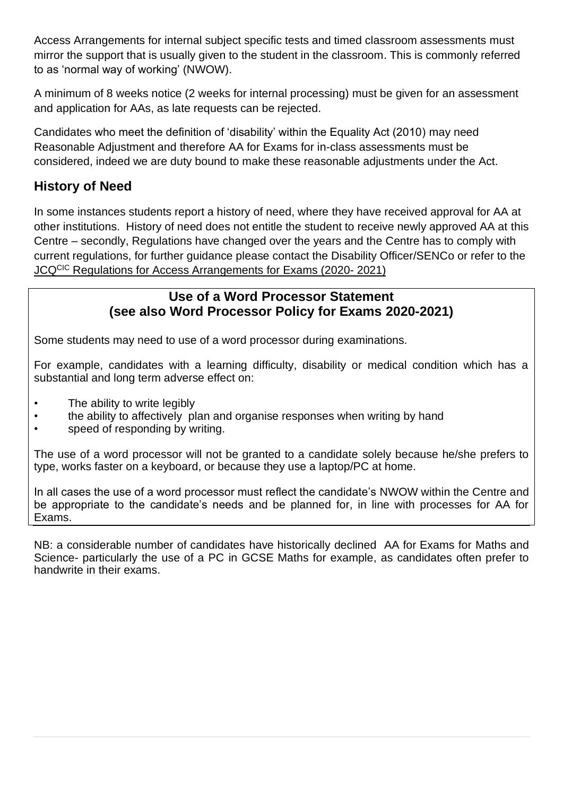Access Arrangements for internal subject specific tests and timed classroom assessments must mirror the support that is usually given to the student in the classroom. This is commonly referred to as 'normal way of working' (NWOW).

A minimum of 8 weeks notice (2 weeks for internal processing) must be given for an assessment and application for AAs, as late requests can be rejected.

Candidates who meet the definition of 'disability' within the Equality Act (2010) may need Reasonable Adjustment and therefore AA for Exams for in-class assessments must be considered, indeed we are duty bound to make these reasonable adjustments under the Act.

# **History of Need**

In some instances students report a history of need, where they have received approval for AA at other institutions. History of need does not entitle the student to receive newly approved AA at this Centre – secondly, Regulations have changed over the years and the Centre has to comply with current regulations, for further guidance please contact the Disability Officer/SENCo or refer to the JCQCIC Regulations for Access Arrangements for Exams (2020- 2021)

#### **Use of a Word Processor Statement (see also Word Processor Policy for Exams 2020-2021)**

Some students may need to use of a word processor during examinations.

For example, candidates with a learning difficulty, disability or medical condition which has a substantial and long term adverse effect on:

- The ability to write legibly
- the ability to affectively plan and organise responses when writing by hand
- speed of responding by writing.

The use of a word processor will not be granted to a candidate solely because he/she prefers to type, works faster on a keyboard, or because they use a laptop/PC at home.

In all cases the use of a word processor must reflect the candidate's NWOW within the Centre and be appropriate to the candidate's needs and be planned for, in line with processes for AA for Exams.

NB: a considerable number of candidates have historically declined AA for Exams for Maths and Science- particularly the use of a PC in GCSE Maths for example, as candidates often prefer to handwrite in their exams.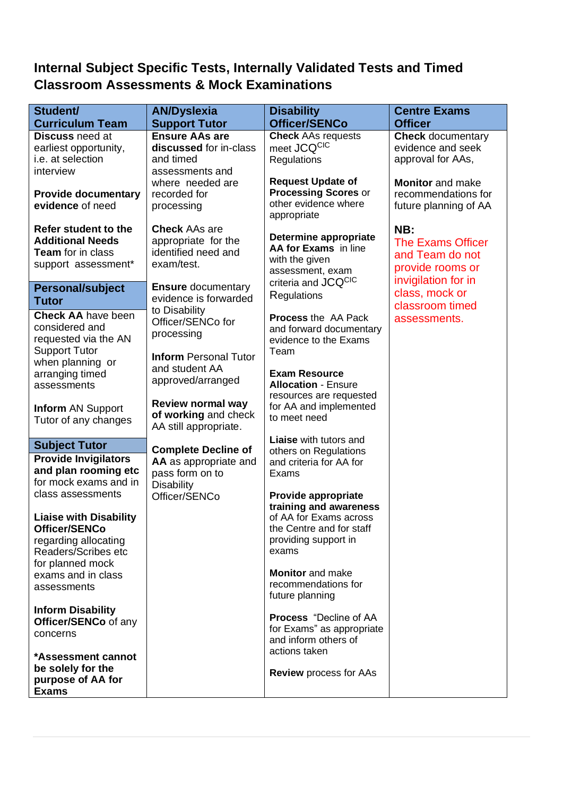# **Internal Subject Specific Tests, Internally Validated Tests and Timed Classroom Assessments & Mock Examinations**

| Student/                      |                                         |                               | <b>Centre Exams</b>      |
|-------------------------------|-----------------------------------------|-------------------------------|--------------------------|
|                               | <b>AN/Dyslexia</b><br><b>Disability</b> |                               |                          |
| <b>Curriculum Team</b>        | <b>Support Tutor</b>                    | Officer/SENCo                 | <b>Officer</b>           |
| <b>Discuss need at</b>        | <b>Ensure AAs are</b>                   | <b>Check AAs requests</b>     | <b>Check</b> documentary |
| earliest opportunity,         | discussed for in-class                  | meet JCQCIC                   | evidence and seek        |
| i.e. at selection             | and timed                               | Regulations                   | approval for AAs,        |
| interview                     | assessments and                         |                               |                          |
|                               | where needed are                        | <b>Request Update of</b>      | <b>Monitor</b> and make  |
| <b>Provide documentary</b>    | recorded for                            | <b>Processing Scores or</b>   | recommendations for      |
| evidence of need              | processing                              | other evidence where          | future planning of AA    |
|                               |                                         | appropriate                   |                          |
| Refer student to the          | <b>Check AAs are</b>                    |                               | NB:                      |
| <b>Additional Needs</b>       | appropriate for the                     | Determine appropriate         | <b>The Exams Officer</b> |
| <b>Team</b> for in class      | identified need and                     | AA for Exams in line          | and Team do not          |
| support assessment*           | exam/test.                              | with the given                |                          |
|                               |                                         | assessment, exam              | provide rooms or         |
| <b>Personal/subject</b>       | <b>Ensure documentary</b>               | criteria and JCQCIC           | invigilation for in      |
| <b>Tutor</b>                  | evidence is forwarded                   | Regulations                   | class, mock or           |
|                               | to Disability                           |                               | classroom timed          |
| <b>Check AA have been</b>     | Officer/SENCo for                       | <b>Process the AA Pack</b>    | assessments.             |
| considered and                | processing                              | and forward documentary       |                          |
| requested via the AN          |                                         | evidence to the Exams         |                          |
| <b>Support Tutor</b>          | <b>Inform Personal Tutor</b>            | Team                          |                          |
| when planning or              | and student AA                          |                               |                          |
| arranging timed               |                                         | <b>Exam Resource</b>          |                          |
| assessments                   | approved/arranged                       | <b>Allocation - Ensure</b>    |                          |
|                               |                                         | resources are requested       |                          |
| <b>Inform AN Support</b>      | Review normal way                       | for AA and implemented        |                          |
| Tutor of any changes          | of working and check                    | to meet need                  |                          |
|                               | AA still appropriate.                   |                               |                          |
| <b>Subject Tutor</b>          |                                         | <b>Liaise</b> with tutors and |                          |
| <b>Provide Invigilators</b>   | <b>Complete Decline of</b>              | others on Regulations         |                          |
|                               | AA as appropriate and                   | and criteria for AA for       |                          |
| and plan rooming etc          | pass form on to                         | Exams                         |                          |
| for mock exams and in         | <b>Disability</b>                       |                               |                          |
| class assessments             | Officer/SENCo                           | Provide appropriate           |                          |
|                               |                                         | training and awareness        |                          |
| <b>Liaise with Disability</b> |                                         | of AA for Exams across        |                          |
| Officer/SENCo                 |                                         | the Centre and for staff      |                          |
| regarding allocating          |                                         | providing support in          |                          |
| Readers/Scribes etc           |                                         | exams                         |                          |
| for planned mock              |                                         |                               |                          |
| exams and in class            |                                         | <b>Monitor</b> and make       |                          |
| assessments                   |                                         | recommendations for           |                          |
|                               |                                         | future planning               |                          |
| <b>Inform Disability</b>      |                                         | <b>Process</b> "Decline of AA |                          |
| Officer/SENCo of any          |                                         | for Exams" as appropriate     |                          |
| concerns                      |                                         | and inform others of          |                          |
|                               |                                         | actions taken                 |                          |
| *Assessment cannot            |                                         |                               |                          |
| be solely for the             |                                         | <b>Review process for AAs</b> |                          |
| purpose of AA for             |                                         |                               |                          |
| <b>Exams</b>                  |                                         |                               |                          |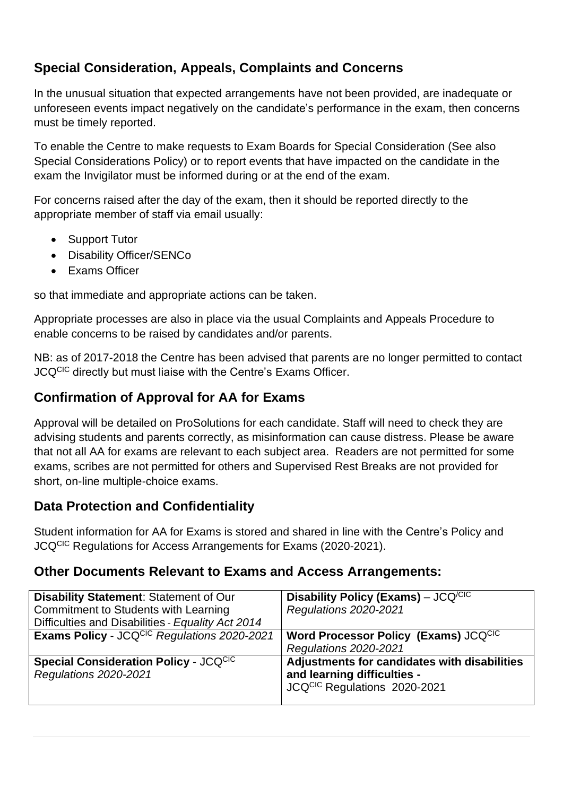# **Special Consideration, Appeals, Complaints and Concerns**

In the unusual situation that expected arrangements have not been provided, are inadequate or unforeseen events impact negatively on the candidate's performance in the exam, then concerns must be timely reported.

To enable the Centre to make requests to Exam Boards for Special Consideration (See also Special Considerations Policy) or to report events that have impacted on the candidate in the exam the Invigilator must be informed during or at the end of the exam.

For concerns raised after the day of the exam, then it should be reported directly to the appropriate member of staff via email usually:

- Support Tutor
- Disability Officer/SENCo
- Exams Officer

so that immediate and appropriate actions can be taken.

Appropriate processes are also in place via the usual Complaints and Appeals Procedure to enable concerns to be raised by candidates and/or parents.

NB: as of 2017-2018 the Centre has been advised that parents are no longer permitted to contact JCQCIC directly but must liaise with the Centre's Exams Officer.

# **Confirmation of Approval for AA for Exams**

Approval will be detailed on ProSolutions for each candidate. Staff will need to check they are advising students and parents correctly, as misinformation can cause distress. Please be aware that not all AA for exams are relevant to each subject area. Readers are not permitted for some exams, scribes are not permitted for others and Supervised Rest Breaks are not provided for short, on-line multiple-choice exams.

# **Data Protection and Confidentiality**

Student information for AA for Exams is stored and shared in line with the Centre's Policy and JCQCIC Regulations for Access Arrangements for Exams (2020-2021).

# **Other Documents Relevant to Exams and Access Arrangements:**

| <b>Disability Statement: Statement of Our</b><br>Commitment to Students with Learning<br>Difficulties and Disabilities - Equality Act 2014 | Disability Policy (Exams) – $JCQ^{/CIC}$<br><b>Regulations 2020-2021</b>                                    |
|--------------------------------------------------------------------------------------------------------------------------------------------|-------------------------------------------------------------------------------------------------------------|
| Exams Policy - JCQCIC Regulations 2020-2021                                                                                                | Word Processor Policy (Exams) JCQCIC<br><b>Regulations 2020-2021</b>                                        |
| <b>Special Consideration Policy - JCQCIC</b><br><b>Regulations 2020-2021</b>                                                               | Adjustments for candidates with disabilities<br>and learning difficulties -<br>JCQCIC Regulations 2020-2021 |